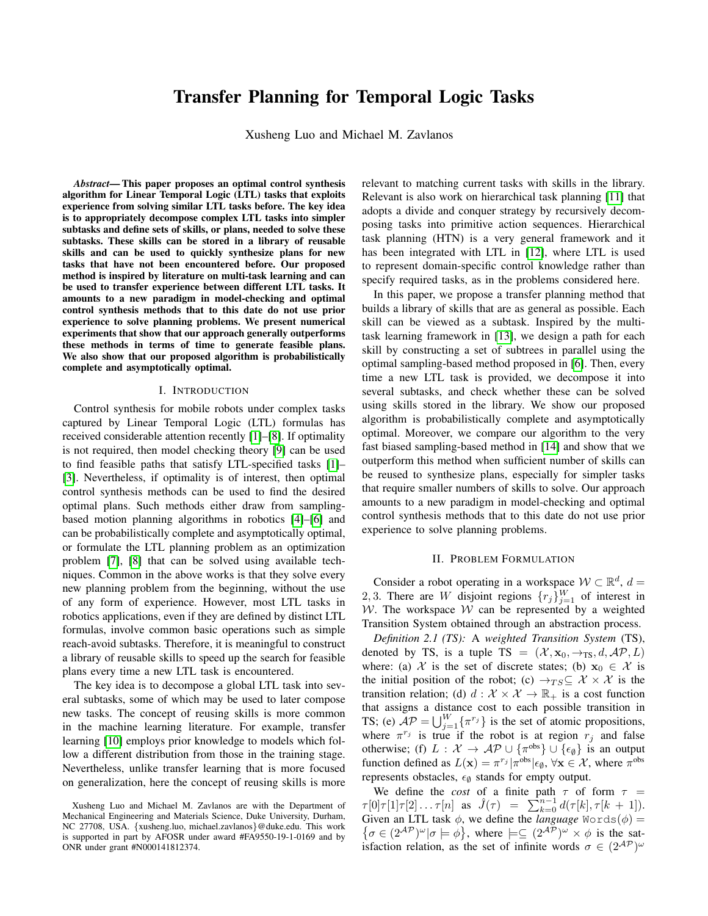# Transfer Planning for Temporal Logic Tasks

Xusheng Luo and Michael M. Zavlanos

*Abstract*— This paper proposes an optimal control synthesis algorithm for Linear Temporal Logic (LTL) tasks that exploits experience from solving similar LTL tasks before. The key idea is to appropriately decompose complex LTL tasks into simpler subtasks and define sets of skills, or plans, needed to solve these subtasks. These skills can be stored in a library of reusable skills and can be used to quickly synthesize plans for new tasks that have not been encountered before. Our proposed method is inspired by literature on multi-task learning and can be used to transfer experience between different LTL tasks. It amounts to a new paradigm in model-checking and optimal control synthesis methods that to this date do not use prior experience to solve planning problems. We present numerical experiments that show that our approach generally outperforms these methods in terms of time to generate feasible plans. We also show that our proposed algorithm is probabilistically complete and asymptotically optimal.

#### I. INTRODUCTION

Control synthesis for mobile robots under complex tasks captured by Linear Temporal Logic (LTL) formulas has received considerable attention recently [\[1\]](#page-5-0)–[\[8\]](#page-5-1). If optimality is not required, then model checking theory [\[9\]](#page-5-2) can be used to find feasible paths that satisfy LTL-specified tasks [\[1\]](#page-5-0)– [\[3\]](#page-5-3). Nevertheless, if optimality is of interest, then optimal control synthesis methods can be used to find the desired optimal plans. Such methods either draw from samplingbased motion planning algorithms in robotics [\[4\]](#page-5-4)–[\[6\]](#page-5-5) and can be probabilistically complete and asymptotically optimal, or formulate the LTL planning problem as an optimization problem [\[7\]](#page-5-6), [\[8\]](#page-5-1) that can be solved using available techniques. Common in the above works is that they solve every new planning problem from the beginning, without the use of any form of experience. However, most LTL tasks in robotics applications, even if they are defined by distinct LTL formulas, involve common basic operations such as simple reach-avoid subtasks. Therefore, it is meaningful to construct a library of reusable skills to speed up the search for feasible plans every time a new LTL task is encountered.

The key idea is to decompose a global LTL task into several subtasks, some of which may be used to later compose new tasks. The concept of reusing skills is more common in the machine learning literature. For example, transfer learning [\[10\]](#page-5-7) employs prior knowledge to models which follow a different distribution from those in the training stage. Nevertheless, unlike transfer learning that is more focused on generalization, here the concept of reusing skills is more relevant to matching current tasks with skills in the library. Relevant is also work on hierarchical task planning [\[11\]](#page-5-8) that adopts a divide and conquer strategy by recursively decomposing tasks into primitive action sequences. Hierarchical task planning (HTN) is a very general framework and it has been integrated with LTL in [\[12\]](#page-5-9), where LTL is used to represent domain-specific control knowledge rather than specify required tasks, as in the problems considered here.

In this paper, we propose a transfer planning method that builds a library of skills that are as general as possible. Each skill can be viewed as a subtask. Inspired by the multitask learning framework in [\[13\]](#page-5-10), we design a path for each skill by constructing a set of subtrees in parallel using the optimal sampling-based method proposed in [\[6\]](#page-5-5). Then, every time a new LTL task is provided, we decompose it into several subtasks, and check whether these can be solved using skills stored in the library. We show our proposed algorithm is probabilistically complete and asymptotically optimal. Moreover, we compare our algorithm to the very fast biased sampling-based method in [\[14\]](#page-5-11) and show that we outperform this method when sufficient number of skills can be reused to synthesize plans, especially for simpler tasks that require smaller numbers of skills to solve. Our approach amounts to a new paradigm in model-checking and optimal control synthesis methods that to this date do not use prior experience to solve planning problems.

## II. PROBLEM FORMULATION

Consider a robot operating in a workspace  $W \subset \mathbb{R}^d$ ,  $d =$ 2, 3. There are W disjoint regions  $\{r_j\}_{j=1}^W$  of interest in W. The workspace  $W$  can be represented by a weighted Transition System obtained through an abstraction process.

*Definition 2.1 (TS):* A *weighted Transition System* (TS), denoted by TS, is a tuple TS =  $(\mathcal{X}, \mathbf{x}_0, \rightarrow_{\text{TS}}, d, \mathcal{AP}, L)$ where: (a)  $\mathcal X$  is the set of discrete states; (b)  $x_0 \in \mathcal X$  is the initial position of the robot; (c)  $\rightarrow_{TS} \subseteq \mathcal{X} \times \mathcal{X}$  is the transition relation; (d)  $d : \mathcal{X} \times \mathcal{X} \to \mathbb{R}_+$  is a cost function that assigns a distance cost to each possible transition in TS; (e)  $AP = \bigcup_{j=1}^{W} {\{\pi^{r_j}\}}$  is the set of atomic propositions, where  $\pi^{r_j}$  is true if the robot is at region  $r_j$  and false otherwise; (f)  $L : \mathcal{X} \to \mathcal{AP} \cup \{\pi^{\text{obs}}\} \cup \{\epsilon_{\emptyset}\}\)$  is an output function defined as  $L(\mathbf{x}) = \pi^{r_j} |\pi^{\text{obs}}| \epsilon_{\emptyset}$ ,  $\forall \mathbf{x} \in \mathcal{X}$ , where  $\pi^{\text{obs}}$ represents obstacles,  $\epsilon_{\emptyset}$  stands for empty output.

We define the *cost* of a finite path  $\tau$  of form  $\tau$  =  $\tau[0]\tau[1]\tau[2]\ldots\tau[n]$  as  $\hat{J}(\tau) = \sum_{k=0}^{n-1} d(\tau[k], \tau[k+1]).$ Given an LTL task  $\phi$ , we define the *language* Words( $\phi$ ) =  $\{\sigma \in (2^{\mathcal{AP}})^\omega | \sigma \models \phi\}$ , where  $\models \subseteq (2^{\mathcal{AP}})^\omega \times \phi$  is the satisfaction relation, as the set of infinite words  $\sigma \in (2^{\mathcal{AP}})^{\omega}$ 

Xusheng Luo and Michael M. Zavlanos are with the Department of Mechanical Engineering and Materials Science, Duke University, Durham, NC 27708, USA. {xusheng.luo, michael.zavlanos}@duke.edu. This work is supported in part by AFOSR under award #FA9550-19-1-0169 and by ONR under grant #N000141812374.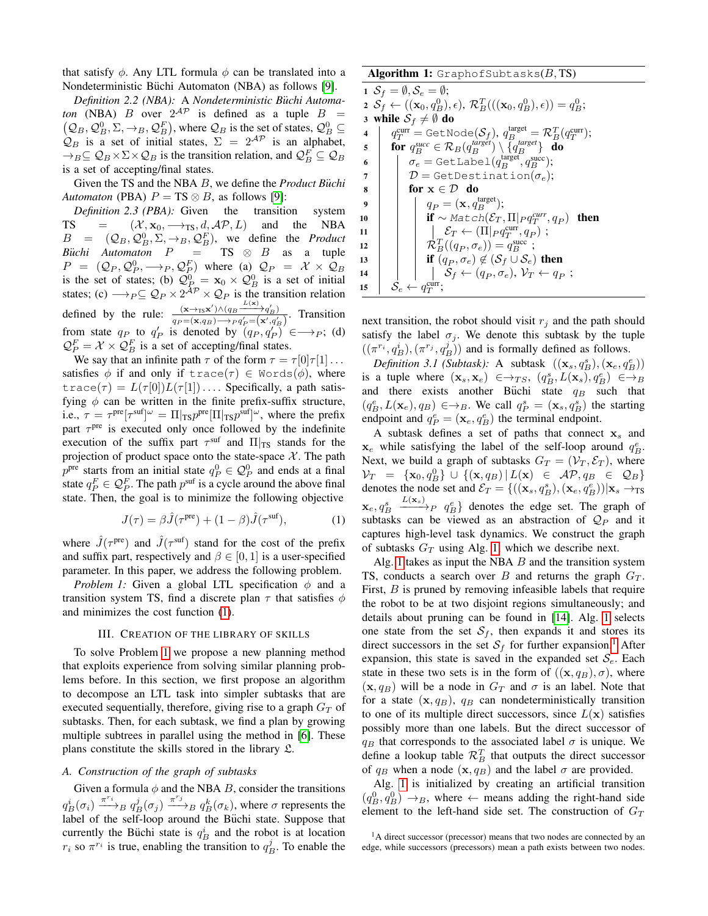that satisfy  $\phi$ . Any LTL formula  $\phi$  can be translated into a Nondeterministic Büchi Automaton (NBA) as follows [\[9\]](#page-5-2).

*Definition 2.2 (NBA):* A *Nondeterministic B*¨*uchi Automaton* (NBA) *B* over  $2^{AP}$  is defined as a tuple  $B =$  $(Q_B, Q_B^0, \Sigma, \rightarrow_B, Q_B^F)$ , where  $Q_B$  is the set of states,  $Q_B^0 \subseteq$  $\mathcal{Q}_B$  is a set of initial states,  $\Sigma = 2^{\mathcal{AP}}$  is an alphabet,  $\rightarrow_B \subseteq Q_B \times \Sigma \times Q_B$  is the transition relation, and  $Q_B^F \subseteq Q_B$ is a set of accepting/final states.

Given the TS and the NBA B, we define the *Product Büchi Automaton* (PBA)  $P = TS \otimes B$ , as follows [\[9\]](#page-5-2):

*Definition 2.3 (PBA):* Given the transition system TS =  $(X, x_0, \longrightarrow_{TS}, d, \mathcal{AP}, L)$  and the NBA  $B = (Q_B, Q_B^0, \Sigma, \rightarrow_B, Q_B^F)$ , we define the *Product Büchi* Automaton  $P = TS \otimes B$  as a tuple  $P = (Q_P, Q_P^0, \longrightarrow_P, Q_P^F)$  where (a)  $Q_P = \mathcal{X} \times Q_B$ is the set of states; (b)  $\mathcal{Q}_{P_-}^0 = \mathbf{x}_0 \times \mathcal{Q}_B^0$  is a set of initial states; (c)  $\longrightarrow_{P} \subseteq \mathcal{Q}_{P} \times 2^{\mathcal{AP}} \times \mathcal{Q}_{P}$  is the transition relation defined by the rule:  $\frac{(\mathbf{x} \rightarrow_{\text{TS}} \mathbf{x}') \wedge (q_B - \mathcal{L}(\mathbf{x}))}{\frac{(\mathbf{x} \rightarrow_{\text{TS}} \mathbf{x}') \wedge (q_B - \mathcal{L}(\mathbf{x}))}{\frac{(\mathbf{x} \rightarrow_{\text{TS}} \mathbf{x}') \wedge (\mathbf{x} \rightarrow_{\text{TS}} \mathbf{x}')}{\frac{(\mathbf{x} \rightarrow_{\text{TS}} \mathbf{x}')}{\frac{(\mathbf{x} \rightarrow_{\text{TS}} \mathbf{x}')}{\frac{(\mathbf{x} \rightarrow_{\text{TS}} \mathbf{x}')}{\frac{(\mathbf{x} \rightarrow$  $\frac{(x\rightarrow_{TS}x)\wedge(q_B\rightarrow q_B)}{(q_P=(x,q_B)\rightarrow_{P} q_P'=(x',q_B')}$ . Transition from state  $q_P$  to  $q'_P$  is denoted by  $(q_P, q'_P) \in \longrightarrow_P$ ; (d)  $\mathcal{Q}_P^F = \mathcal{X} \times \mathcal{Q}_B^F$  is a set of accepting/final states.

We say that an infinite path  $\tau$  of the form  $\tau = \tau[0]\tau[1] \dots$ satisfies  $\phi$  if and only if trace( $\tau$ )  $\in$  Words( $\phi$ ), where  $trace(\tau) = L(\tau[0])L(\tau[1])\ldots$  Specifically, a path satisfying  $\phi$  can be written in the finite prefix-suffix structure, i.e.,  $\tau = \tau^{\text{pre}}[\tau^{\text{suf}}]^{\omega} = \Pi|_{\text{TS}} p^{\text{pre}}[\Pi|_{\text{TS}} p^{\text{suf}}]^{\omega}$ , where the prefix part  $\tau^{\text{pre}}$  is executed only once followed by the indefinite execution of the suffix part  $\tau^{\text{suf}}$  and  $\Pi|_{\text{TS}}$  stands for the projection of product space onto the state-space  $X$ . The path  $p^{\text{pre}}$  starts from an initial state  $q_P^0 \in \mathcal{Q}_P^0$  and ends at a final state  $q_P^F \in \mathcal{Q}_P^F$ . The path  $p^{\text{surf}}$  is a cycle around the above final state. Then, the goal is to minimize the following objective

$$
J(\tau) = \beta \hat{J}(\tau^{\text{pre}}) + (1 - \beta)\hat{J}(\tau^{\text{surf}}), \tag{1}
$$

where  $\hat{J}(\tau^{\text{pre}})$  and  $\hat{J}(\tau^{\text{surf}})$  stand for the cost of the prefix and suffix part, respectively and  $\beta \in [0, 1]$  is a user-specified parameter. In this paper, we address the following problem.

*Problem 1:* Given a global LTL specification  $\phi$  and a transition system TS, find a discrete plan  $\tau$  that satisfies  $\phi$ and minimizes the cost function [\(1\)](#page-1-0).

# III. CREATION OF THE LIBRARY OF SKILLS

To solve Problem [1](#page-1-1) we propose a new planning method that exploits experience from solving similar planning problems before. In this section, we first propose an algorithm to decompose an LTL task into simpler subtasks that are executed sequentially, therefore, giving rise to a graph  $G_T$  of subtasks. Then, for each subtask, we find a plan by growing multiple subtrees in parallel using the method in [\[6\]](#page-5-5). These plans constitute the skills stored in the library  $\mathfrak{L}$ .

## *A. Construction of the graph of subtasks*

Given a formula  $\phi$  and the NBA B, consider the transitions  $q_B^i(\sigma_i) \xrightarrow{\pi^{r_i}} q_B^j(\sigma_j) \xrightarrow{\pi^{r_j}} q_B^k(\sigma_k)$ , where  $\sigma$  represents the label of the self-loop around the Büchi state. Suppose that currently the Büchi state is  $q_B^i$  and the robot is at location  $r_i$  so  $\pi^{r_i}$  is true, enabling the transition to  $q_B^j$ . To enable the

<span id="page-1-7"></span><span id="page-1-5"></span><span id="page-1-4"></span><span id="page-1-2"></span>Algorithm 1: GraphofSubtasks(B, TS)  
\n1 
$$
S_f = \emptyset
$$
,  $S_e = \emptyset$ ;  
\n2  $S_f \leftarrow ((\mathbf{x}_0, q_B^0), \epsilon), \mathcal{R}_B^T(((\mathbf{x}_0, q_B^0), \epsilon)) = q_B^0$ ;  
\n3 while  $S_f \neq \emptyset$  do  
\n4  $q_T^{\text{curr}} = \text{GetNode}(S_f), q_B^{\text{target}} = \mathcal{R}_B^T(q_T^{\text{curr}})$ ;  
\n5  $\text{for } q_B^{\text{succ}} \in \mathcal{R}_B(q_B^{\text{target}}) \setminus \{q_B^{\text{target}}\}$  do  
\n6  $\sigma_e = \text{GetLabel}(q_B^{\text{target}}, q_B^{\text{succ}})$ ;  
\n7  $\mathcal{D} = \text{GetDestination}(\sigma_e)$ ;  
\n8  $\text{for } \mathbf{x} \in \mathcal{D}$  do  
\n9  $q_P = (\mathbf{x}, q_B^{\text{target}})$ ;  
\n10  $q_P = (\mathbf{x}, q_B^{\text{target}})$ ;  
\n11  $\mathcal{E}_T \leftarrow (\Pi|_P q_T^{\text{curr}}, q_P)$  then  
\n12  $\mathcal{E}_T \leftarrow (\Pi|_P q_T^{\text{curr}}, q_P)$ ;  
\n13  $\mathcal{R}_B^T((q_P, \sigma_e)) = q_B^{\text{succ}}$ ;  
\n14  $\mathcal{S}_f \leftarrow (q_P, \sigma_e), \mathcal{V}_T \leftarrow q_P$ ;  
\n15  $\mathcal{S}_e \leftarrow q_T^{\text{curr}}$ ;

<span id="page-1-11"></span><span id="page-1-10"></span><span id="page-1-9"></span><span id="page-1-8"></span><span id="page-1-6"></span>next transition, the robot should visit  $r_i$  and the path should satisfy the label  $\sigma_i$ . We denote this subtask by the tuple  $((\pi^{r_i}, q_B^i), (\pi^{r_j}, q_B^j))$  and is formally defined as follows.

*Definition 3.1 (Subtask)*: A subtask  $((\mathbf{x}_s, q_B^s), (\mathbf{x}_e, q_B^e))$ is a tuple where  $(\mathbf{x}_s, \mathbf{x}_e) \in \rightarrow_{TS}$ ,  $(q_B^s, L(\mathbf{x}_s), q_B^e) \in \rightarrow_B$ and there exists another Büchi state  $q_B$  such that  $(q_B^e, L(\mathbf{x}_e), q_B) \in \rightarrow_B$ . We call  $q_P^s = (\mathbf{x}_s, q_B^s)$  the starting endpoint and  $q_P^e = (\mathbf{x}_e, q_B^e)$  the terminal endpoint.

A subtask defines a set of paths that connect  $x_s$  and  $\mathbf{x}_e$  while satisfying the label of the self-loop around  $q_B^e$ . Next, we build a graph of subtasks  $G_T = (\mathcal{V}_T, \mathcal{E}_T)$ , where  $\mathcal{V}_T = {\mathbf{x}_0, q_B^0} \cup {\mathbf{x}, q_B | L(\mathbf{x}) \in \mathcal{AP}, q_B \in \mathcal{Q}_B}$ denotes the node set and  $\mathcal{E}_T = \{((\mathbf{x}_s, q_B^s), (\mathbf{x}_e, q_B^e))|\mathbf{x}_s \to_{TS} \}$  $\mathbf{x}_e, q_B^s$  $\frac{L(\mathbf{x}_s)}{P}$   $q_B^e$ } denotes the edge set. The graph of subtasks can be viewed as an abstraction of  $\mathcal{Q}_P$  and it captures high-level task dynamics. We construct the graph of subtasks  $G_T$  using Alg. [1,](#page-1-2) which we describe next.

<span id="page-1-1"></span><span id="page-1-0"></span>Alg. [1](#page-1-2) takes as input the NBA  $B$  and the transition system TS, conducts a search over B and returns the graph  $G_T$ . First, *B* is pruned by removing infeasible labels that require the robot to be at two disjoint regions simultaneously; and details about pruning can be found in [\[14\]](#page-5-11). Alg. [1](#page-1-2) selects one state from the set  $S_f$ , then expands it and stores its direct successors in the set  $S_f$  for further expansion.<sup>[1](#page-1-3)</sup> After expansion, this state is saved in the expanded set  $S_e$ . Each state in these two sets is in the form of  $((x, q_B), \sigma)$ , where  $(x, q_B)$  will be a node in  $G_T$  and  $\sigma$  is an label. Note that for a state  $(x, q_B)$ ,  $q_B$  can nondeterministically transition to one of its multiple direct successors, since  $L(\mathbf{x})$  satisfies possibly more than one labels. But the direct successor of  $q_B$  that corresponds to the associated label  $\sigma$  is unique. We define a lookup table  $\mathcal{R}_B^T$  that outputs the direct successor of  $q_B$  when a node  $(x, q_B)$  and the label  $\sigma$  are provided.

Alg. [1](#page-1-2) is initialized by creating an artificial transition  $(q_B^0, q_B^0) \rightarrow_B$ , where  $\leftarrow$  means adding the right-hand side element to the left-hand side set. The construction of  $G_T$ 

<span id="page-1-3"></span><sup>&</sup>lt;sup>1</sup>A direct successor (precessor) means that two nodes are connected by an edge, while successors (precessors) mean a path exists between two nodes.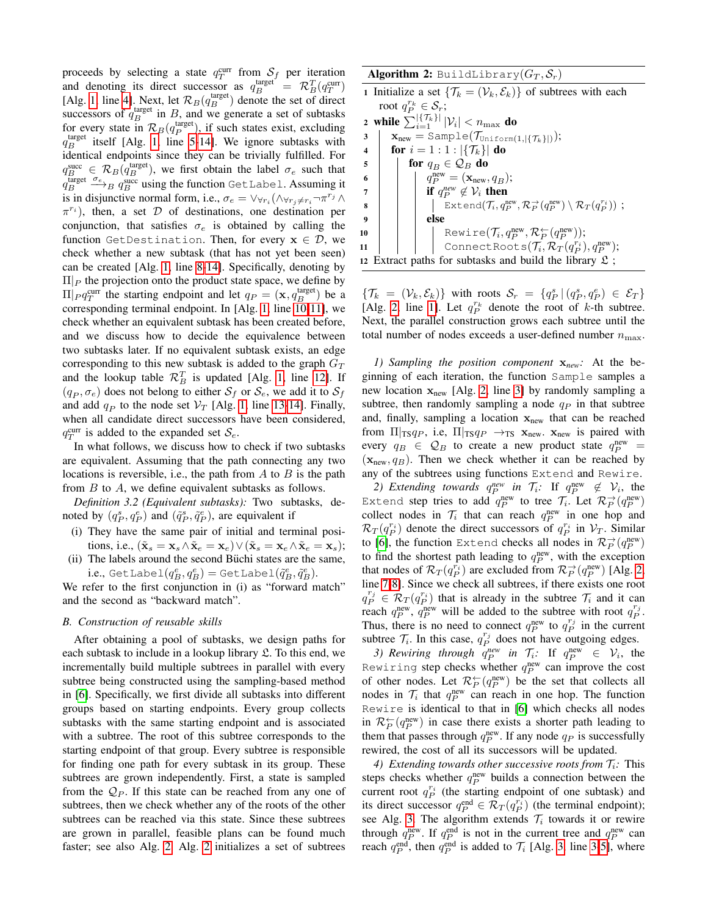proceeds by selecting a state  $q_T^{\text{curr}}$  from  $S_f$  per iteration process by selecting a state  $q_T$  from  $\sigma_f$  per ineration<br>and denoting its direct successor as  $q_B^{\text{target}} = \mathcal{R}_B^T (q_T^{\text{curr}})$ [Alg. [1,](#page-1-2) line [4\]](#page-1-4). Next, let  $\mathcal{R}_B(q_B^{\text{target}})$  denote the set of direct successors of  $q_B^{\text{target}}$  in B, and we generate a set of subtasks for every state in  $\mathcal{R}_B(q_P^{\text{target}})$ , if such states exist, excluding  $q_B^{\text{target}}$  itself [Alg. [1,](#page-1-2) line [5](#page-1-5)[-14\]](#page-1-6). We ignore subtasks with identical endpoints since they can be trivially fulfilled. For  $q_B^{\text{succ}} \in \mathcal{R}_B(q_B^{\text{target}})$ , we first obtain the label  $\sigma_e$  such that  $q_B^{\text{target}} \xrightarrow{\sigma_e} B q_B^{\text{succ}}$  using the function GetLabel. Assuming it is in disjunctive normal form, i.e.,  $\sigma_e = \forall \forall r_i (\wedge \forall r_j \neq r_i \neg \pi^{r_j} \wedge \pi^j)$  $\pi^{r_i}$ ), then, a set  $\mathcal D$  of destinations, one destination per conjunction, that satisfies  $\sigma_e$  is obtained by calling the function GetDestination. Then, for every  $x \in \mathcal{D}$ , we check whether a new subtask (that has not yet been seen) can be created [Alg. [1,](#page-1-2) line [8](#page-1-7)[-14\]](#page-1-6). Specifically, denoting by  $\Pi|_P$  the projection onto the product state space, we define by  $\Pi |_{P} q_T^{\text{curr}}$  the starting endpoint and let  $q_P = (\mathbf{x}, q_B^{\text{target}})$  be a corresponding terminal endpoint. In [Alg. [1,](#page-1-2) line [10](#page-1-8)[-11\]](#page-1-9), we check whether an equivalent subtask has been created before, and we discuss how to decide the equivalence between two subtasks later. If no equivalent subtask exists, an edge corresponding to this new subtask is added to the graph  $G_T$ and the lookup table  $\mathcal{R}_B^T$  is updated [Alg. [1,](#page-1-2) line [12\]](#page-1-10). If  $(q_P, \sigma_e)$  does not belong to either  $S_f$  or  $S_e$ , we add it to  $S_f$ and add  $q_P$  to the node set  $V_T$  [Alg. [1,](#page-1-2) line [13-](#page-1-11)[14\]](#page-1-6). Finally, when all candidate direct successors have been considered,  $q_T^{\text{curr}}$  is added to the expanded set  $\mathcal{S}_e$ .

In what follows, we discuss how to check if two subtasks are equivalent. Assuming that the path connecting any two locations is reversible, i.e., the path from  $A$  to  $B$  is the path from B to A, we define equivalent subtasks as follows.

*Definition 3.2 (Equivalent subtasks):* Two subtasks, denoted by  $(q_P^s, q_P^e)$  and  $(\tilde{q}_P^s, \tilde{q}_P^e)$ , are equivalent if

- (i) They have the same pair of initial and terminal positions, i.e.,  $(\tilde{\mathbf{x}}_s = \mathbf{x}_s \wedge \tilde{\mathbf{x}}_e = \mathbf{x}_e) \vee (\tilde{\mathbf{x}}_s = \mathbf{x}_e \wedge \tilde{\mathbf{x}}_e = \mathbf{x}_s);$
- (ii) The labels around the second Büchi states are the same,  $\text{i.e., } \text{\texttt{GetLabel}}(q_B^e,q_B^e) = \text{\texttt{GetLabel}}(\tilde{q}_B^e,\tilde{q}_B^e).$

We refer to the first conjunction in (i) as "forward match" and the second as "backward match".

# *B. Construction of reusable skills*

After obtaining a pool of subtasks, we design paths for each subtask to include in a lookup library  $\mathfrak{L}$ . To this end, we incrementally build multiple subtrees in parallel with every subtree being constructed using the sampling-based method in [\[6\]](#page-5-5). Specifically, we first divide all subtasks into different groups based on starting endpoints. Every group collects subtasks with the same starting endpoint and is associated with a subtree. The root of this subtree corresponds to the starting endpoint of that group. Every subtree is responsible for finding one path for every subtask in its group. These subtrees are grown independently. First, a state is sampled from the  $\mathcal{Q}_P$ . If this state can be reached from any one of subtrees, then we check whether any of the roots of the other subtrees can be reached via this state. Since these subtrees are grown in parallel, feasible plans can be found much faster; see also Alg. [2.](#page-2-0) Alg. [2](#page-2-0) initializes a set of subtrees **Algorithm 2:** BuildLibrary $(G_T, \mathcal{S}_r)$ 

<span id="page-2-1"></span><span id="page-2-0"></span>1 Initialize a set  $\{\mathcal{T}_k = (\mathcal{V}_k, \mathcal{E}_k)\}\$  of subtrees with each root  $q_P^{r_k} \in \mathcal{S}_r$ ;

<span id="page-2-4"></span><span id="page-2-3"></span><span id="page-2-2"></span>2 while  $\sum_{i=1}^{|\{\mathcal{T}_k\}|} |\mathcal{V}_i| < n_{\max}$  do  $\mathbf{3} \mid \mathbf{x}_{\text{new}} = \text{Sample}(\mathcal{T}_{\text{Uniform}(1,|\{\mathcal{T}_k\}|)});$ 4 **for**  $i = 1 : 1 : |\{\mathcal{T}_k\}|$  **do** 5 for  $q_B \in \mathcal{Q}_B$  do 6  $\Big| \Big| \Big| q_P^{\text{new}} = (\mathbf{x}_{\text{new}}, q_B);$  $\begin{array}{c|c} \hline \text{ } & \text{ } \end{array}$  if  $q_P^{new} \not\in \mathcal{V}_i$  then 8 | | Extend $(\mathcal{T}_i, q_P^{\rm new}, \mathcal{R}_P^{\rightarrow}(q_P^{\rm new}) \setminus \mathcal{R}_T(q_P^{r_i}))$  ;  $9$  | | | else 10 Rewire $(\mathcal{T}_i, q_P^{\text{new}}, \mathcal{R}_P^{\leftarrow}(q_P^{\text{new}}));$  $\texttt{11} \quad | \quad | \quad | \quad \texttt{ConnectRoots}(\mathcal{T}_i, \mathcal{R}_T(q_P^{r_i}), q_P^{\text{new}});$ 12 Extract paths for subtasks and build the library  $\mathfrak{L}$ ;

<span id="page-2-5"></span> $\{\mathcal{T}_k = (\mathcal{V}_k, \mathcal{E}_k)\}\$  with roots  $\mathcal{S}_r = \{q_P^s | (q_P^s, q_P^e) \in \mathcal{E}_T\}$ [Alg. [2,](#page-2-0) line [1\]](#page-2-1). Let  $q_P^{r_k}$  denote the root of k-th subtree. Next, the parallel construction grows each subtree until the total number of nodes exceeds a user-defined number  $n_{\text{max}}$ .

*1) Sampling the position component* x*new:* At the beginning of each iteration, the function Sample samples a new location  $x_{new}$  [Alg. [2,](#page-2-0) line [3\]](#page-2-2) by randomly sampling a subtree, then randomly sampling a node  $q_P$  in that subtree and, finally, sampling a location  $x<sub>new</sub>$  that can be reached from  $\Pi|_{\text{TS}}q_P$ , i.e,  $\Pi|_{\text{TS}}q_P \rightarrow_{\text{TS}} \mathbf{x}_{\text{new}}$ .  $\mathbf{x}_{\text{new}}$  is paired with every  $q_B \in \mathcal{Q}_B$  to create a new product state  $q_P^{\text{new}} =$  $(\mathbf{x}_{new}, q_B)$ . Then we check whether it can be reached by any of the subtrees using functions Extend and Rewire.

<span id="page-2-6"></span>2) Extending towards  $q_P^{new}$  in  $\mathcal{T}_i$ : If  $q_P^{new} \notin \mathcal{V}_i$ , the Extend step tries to add  $q_P^{\rm new}$  to tree  $\mathcal{T}_i$ . Let  $\mathcal{R}_P^{\rightarrow}(q_P^{\rm new})$ collect nodes in  $\mathcal{T}_i$  that can reach  $q_P^{\text{new}}$  in one hop and  $\mathcal{R}_T(q_P^{r_i})$  denote the direct successors of  $q_P^{r_i}$  in  $\mathcal{V}_T$ . Similar to [\[6\]](#page-5-5), the function Extend checks all nodes in  $\mathcal{R}^{\rightarrow}_P(q_P^{\rm new})$ to find the shortest path leading to  $q_P^{\text{new}}$ , with the exception that nodes of  $\mathcal{R}_T(q_P^{r_i})$  are excluded from  $\mathcal{R}_P^{\to}(q_P^{\text{new}})$  [Alg. [2,](#page-2-0) line [7-](#page-2-3)[8\]](#page-2-4). Since we check all subtrees, if there exists one root  $q_P^{r_j} \in \mathcal{R}_T(q_P^{r_i})$  that is already in the subtree  $\mathcal{T}_i$  and it can reach  $q_P^{\text{new}}$ ,  $q_P^{\text{new}}$  will be added to the subtree with root  $q_P^{r_j}$ . Thus, there is no need to connect  $q_P^{\text{new}}$  to  $q_P^{r_j}$  in the current subtree  $\mathcal{T}_i$ . In this case,  $q_P^{r_j}$  does not have outgoing edges.

<span id="page-2-7"></span>3) Rewiring through  $q_P^{new}$  in  $\mathcal{T}_i$ : If  $q_P^{new} \in \mathcal{V}_i$ , the Rewiring step checks whether  $q_P^{\text{new}}$  can improve the cost of other nodes. Let  $\mathcal{R}_P^{\leftarrow}(q_P^{\text{new}})$  be the set that collects all nodes in  $\mathcal{T}_i$  that  $q_P^{\text{new}}$  can reach in one hop. The function Rewire is identical to that in [\[6\]](#page-5-5) which checks all nodes in  $\mathcal{R}_P^{\leftarrow}(q_P^{\text{new}})$  in case there exists a shorter path leading to them that passes through  $q_P^{\text{new}}$ . If any node  $q_P$  is successfully rewired, the cost of all its successors will be updated.

*4) Extending towards other successive roots from*  $\mathcal{T}_i$ *: This* steps checks whether  $q_P^{\text{new}}$  builds a connection between the current root  $q_P^{r_i}$  (the starting endpoint of one subtask) and its direct successor  $q_P^{\text{end}} \in \mathcal{R}_T(q_P^{r_i})$  (the terminal endpoint); see Alg. [3.](#page-3-0) The algorithm extends  $\mathcal{T}_i$  towards it or rewire through  $q_P^{\text{new}}$ . If  $q_P^{\text{end}}$  is not in the current tree and  $q_P^{\text{new}}$  can reach  $q_P^{\text{end}}$ , then  $q_P^{\text{end}}$  is added to  $\mathcal{T}_i$  [Alg. [3,](#page-3-0) line [3-](#page-3-1)[5\]](#page-3-2), where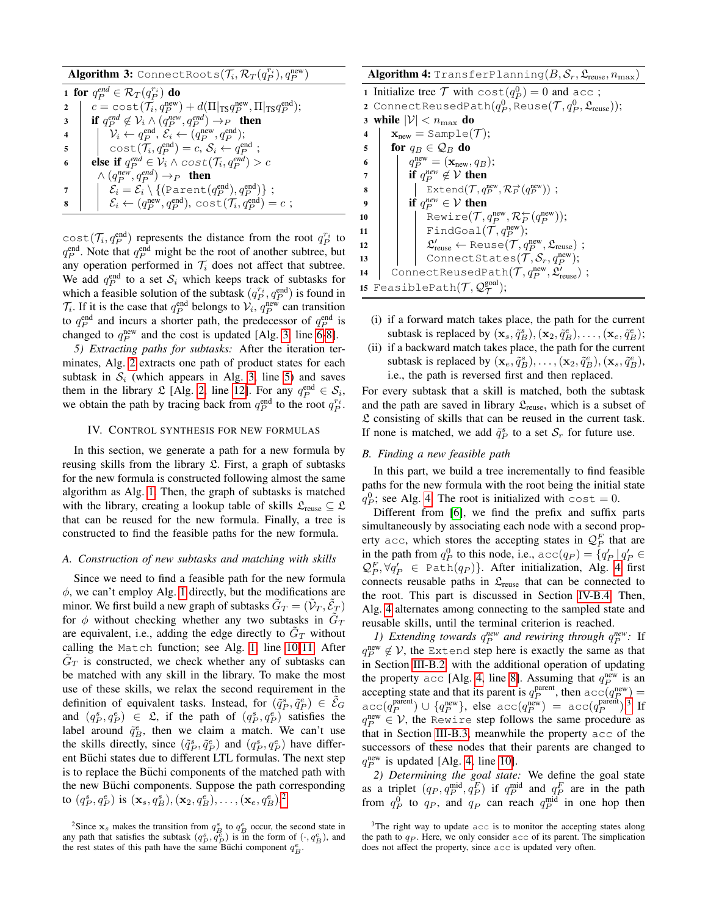$\mathbf{Algorithm~3:}$  <code>ConnectRoots( $\mathcal{T}_i, \mathcal{R}_T(q_P^{r_i}), q_P^{\text{new}})$ </code>

<span id="page-3-3"></span><span id="page-3-2"></span><span id="page-3-1"></span><span id="page-3-0"></span>

|                         | 1 for $q_P^{end} \in \mathcal{R}_T(q_P^{r_i})$ do                                                                               |
|-------------------------|---------------------------------------------------------------------------------------------------------------------------------|
| $2 \quad$               | $c = \text{cost}(\mathcal{T}_i, q_P^{\text{new}}) + d(\Pi  _{\text{TS}} q_P^{\text{new}}, \Pi  _{\text{TS}} q_P^{\text{end}});$ |
| 3                       | <b>if</b> $q_P^{end} \notin \mathcal{V}_i \wedge (q_P^{new}, q_P^{end}) \rightarrow_P$ <b>then</b>                              |
| $\overline{\mathbf{4}}$ | $\mathcal{V}_i \leftarrow q_P^{\text{end}}, \mathcal{E}_i \leftarrow (q_P^{\text{new}}, q_P^{\text{end}});$                     |
| 5                       | $cost(\mathcal{T}_i, q_P^{\text{end}}) = c, S_i \leftarrow q_P^{\text{end}};$                                                   |
| 6                       | <b>else if</b> $q_P^{end} \in \mathcal{V}_i \wedge cost(\mathcal{T}_i, q_P^{end}) > c$                                          |
|                         | $\wedge (q_P^{new}, q_P^{end}) \rightarrow_P$ then                                                                              |
|                         | $\mathcal{E}_i = \mathcal{E}_i \setminus \{(\text{Parent}(q_P^{\text{end}}), q_P^{\text{end}})\};$                              |
|                         | $\mathcal{E}_i \leftarrow (q_P^{\text{new}}, q_P^{\text{end}}), \text{cost}(\mathcal{T}_i, q_P^{\text{end}}) = c;$              |

<span id="page-3-4"></span> $cost(\mathcal{T}_i, q_P^{\text{end}})$  represents the distance from the root  $q_P^{r_i}$  to  $q_P^{\text{end}}$ . Note that  $q_P^{\text{end}}$  might be the root of another subtree, but any operation performed in  $\mathcal{T}_i$  does not affect that subtree. We add  $q_P^{\text{end}}$  to a set  $S_i$  which keeps track of subtasks for which a feasible solution of the subtask  $(q_P^{r_i}, q_P^{\text{end}})$  is found in  $\mathcal{T}_i$ . If it is the case that  $q_P^{\text{end}}$  belongs to  $\mathcal{V}_i$ ,  $q_P^{\text{new}}$  can transition to  $q_P^{\text{end}}$  and incurs a shorter path, the predecessor of  $q_P^{\text{end}}$  is changed to  $q_P^{\text{new}}$  and the cost is updated [Alg. [3,](#page-3-0) line [6](#page-3-3)[-8\]](#page-3-4).

*5) Extracting paths for subtasks:* After the iteration terminates, Alg. [2](#page-2-0) extracts one path of product states for each subtask in  $S_i$  (which appears in Alg. [3,](#page-3-0) line [5\)](#page-3-2) and saves them in the library  $\mathcal{L}$  [Alg. [2,](#page-2-0) line [12\]](#page-2-5). For any  $q_P^{\text{end}} \in \mathcal{S}_i$ , we obtain the path by tracing back from  $q_P^{\text{end}}$  to the root  $q_P^{r_i}$ .

#### IV. CONTROL SYNTHESIS FOR NEW FORMULAS

In this section, we generate a path for a new formula by reusing skills from the library  $\mathfrak{L}$ . First, a graph of subtasks for the new formula is constructed following almost the same algorithm as Alg. [1.](#page-1-2) Then, the graph of subtasks is matched with the library, creating a lookup table of skills  $\mathcal{L}_{\text{reuse}} \subseteq \mathcal{L}$ that can be reused for the new formula. Finally, a tree is constructed to find the feasible paths for the new formula.

## *A. Construction of new subtasks and matching with skills*

Since we need to find a feasible path for the new formula  $\phi$ , we can't employ Alg. [1](#page-1-2) directly, but the modifications are minor. We first build a new graph of subtasks  $\tilde{G}_T = (\tilde{\mathcal{V}}_T, \tilde{\mathcal{E}}_T)$ for  $\phi$  without checking whether any two subtasks in  $\tilde{G}_T$ are equivalent, i.e., adding the edge directly to  $\tilde{G}_T$  without calling the Match function; see Alg. [1,](#page-1-2) line [10-](#page-1-8)[11.](#page-1-9) After  $\tilde{G}_T$  is constructed, we check whether any of subtasks can be matched with any skill in the library. To make the most use of these skills, we relax the second requirement in the definition of equivalent tasks. Instead, for  $(\tilde{q}_P^s, \tilde{q}_P^e) \in \tilde{\mathcal{E}}_G$ and  $(q_P^s, q_P^e) \in \mathfrak{L}$ , if the path of  $(q_P^s, q_P^e)$  satisfies the label around  $\tilde{q}_B^e$ , then we claim a match. We can't use the skills directly, since  $(\tilde{q}_P^s, \tilde{q}_P^e)$  and  $(q_P^s, q_P^e)$  have different Büchi states due to different LTL formulas. The next step is to replace the Büchi components of the matched path with the new Büchi components. Suppose the path corresponding to  $(q_P^s, q_P^e)$  is  $(\mathbf{x}_s, q_B^s), (\mathbf{x}_2, q_B^e), \ldots, (\mathbf{x}_e, q_B^e)^2$  $(\mathbf{x}_s, q_B^s), (\mathbf{x}_2, q_B^e), \ldots, (\mathbf{x}_e, q_B^e)^2$  $(\mathbf{x}_s, q_B^s), (\mathbf{x}_2, q_B^e), \ldots, (\mathbf{x}_e, q_B^e)^2$ 

<span id="page-3-7"></span><span id="page-3-6"></span>Algorithm 4: TransferPlanning $(B, \mathcal{S}_r, \mathfrak{L}_\text{reuse}, n_\text{max})$ 1 Initialize tree  $\mathcal T$  with  $\cos t(q_P^0) = 0$  and acc;  ${\mathbf 2}$  ConnectReusedPath $(q_P^0, \text{Reuse}({\mathcal T}, q_P^0, {\mathfrak L}_{\text{reuse}}));$ 3 while  $|\mathcal{V}| < n_{\max}$  do 4  $\mathbf{x}_{\text{new}} = \text{Sample}(\mathcal{T});$ 5 for  $q_B \in \mathcal{Q}_B$  do 6  $q_P^{\text{new}} = (\mathbf{x}_{\text{new}}, q_B);$ *z* if  $q_P^{new} \notin V$  then 8 | Extend $(\mathcal{T}, q_P^{\rm new}, \mathcal{R}_P^{\rightarrow}(q_P^{\rm new}))$  ; 9 if  $q_P^{new} \in \mathcal{V}$  then 10 Rewire $(\mathcal{T}, q_P^{\text{new}}, \mathcal{R}_P^{\leftarrow}(q_P^{\text{new}}));$ 11 | | FindGoal $(\mathcal{T}, q_P^{\text{new}});$ 12 |  $\mathfrak{L}'_{\rm reuse} \leftarrow \text{Reuse}(\mathcal{T}, q_P^{\rm new}, \mathfrak{L}_{\rm reuse})$ ; 13 | | | ConnectStates $(\mathcal{T}, \mathcal{S}_r, q_P^{\rm new});$ 14 ConnectReusedPath $(\mathcal{T}, q_P^{\rm new}, \mathfrak{L}'_{\rm reuse})$  ; 15 FeasiblePath $(\mathcal{T}, \mathcal{Q}_{\mathcal{T}}^{\text{goal}});$ 

- <span id="page-3-13"></span><span id="page-3-12"></span><span id="page-3-11"></span><span id="page-3-10"></span><span id="page-3-9"></span>(i) if a forward match takes place, the path for the current subtask is replaced by  $(\mathbf{x}_s, \tilde{q}_B^s), (\mathbf{x}_2, \tilde{q}_B^e), \dots, (\mathbf{x}_e, \tilde{q}_B^e);$
- (ii) if a backward match takes place, the path for the current subtask is replaced by  $(\mathbf{x}_e, \tilde{q}_B^s), \dots, (\mathbf{x}_2, \tilde{q}_B^e), (\mathbf{x}_s, \tilde{q}_B^e)$ , i.e., the path is reversed first and then replaced.

For every subtask that a skill is matched, both the subtask and the path are saved in library  $\mathfrak{L}_{\text{reuse}}$ , which is a subset of  $\mathfrak L$  consisting of skills that can be reused in the current task. If none is matched, we add  $\tilde{q}_P^s$  to a set  $\mathcal{S}_r$  for future use.

### *B. Finding a new feasible path*

In this part, we build a tree incrementally to find feasible paths for the new formula with the root being the initial state  $q_P^0$ ; see Alg. [4.](#page-3-6) The root is initialized with cost = 0.

Different from [\[6\]](#page-5-5), we find the prefix and suffix parts simultaneously by associating each node with a second property acc, which stores the accepting states in  $\mathcal{Q}_P^F$  that are in the path from  $q_P^0$  to this node, i.e.,  $acc(q_P) = \{q'_P | q'_P \in$  $\mathcal{Q}_P^F, \forall q_P' \in \texttt{Path}(q_P) \}.$  After initialization, Alg. [4](#page-3-6) first connects reusable paths in  $\mathfrak{L}_{\text{reuse}}$  that can be connected to the root. This part is discussed in Section [IV-B.4.](#page-4-0) Then, Alg. [4](#page-3-6) alternates among connecting to the sampled state and reusable skills, until the terminal criterion is reached.

*1)* Extending towards  $q_P^{new}$  and rewiring through  $q_P^{new}$ : If  $q_P^{\text{new}} \notin V$ , the Extend step here is exactly the same as that in Section [III-B.2,](#page-2-6) with the additional operation of updating the property acc [Alg. [4,](#page-3-6) line [8\]](#page-3-7). Assuming that  $q_P^{\text{new}}$  is an accepting state and that its parent is  $q_P^{\text{parent}}$ , then  $\alpha \in (q_P^{\text{new}})$  =  $\texttt{acc}(q_P^{\text{parent}}) \cup \{q_P^{\text{new}}\}, \text{ else } \texttt{acc}(q_P^{\text{new}}) = \texttt{acc}(q_P^{\text{parent}}).^3 \text{ If }$  $\texttt{acc}(q_P^{\text{parent}}) \cup \{q_P^{\text{new}}\}, \text{ else } \texttt{acc}(q_P^{\text{new}}) = \texttt{acc}(q_P^{\text{parent}}).^3 \text{ If }$  $\texttt{acc}(q_P^{\text{parent}}) \cup \{q_P^{\text{new}}\}, \text{ else } \texttt{acc}(q_P^{\text{new}}) = \texttt{acc}(q_P^{\text{parent}}).^3 \text{ If }$  $q_P^{\text{new}} \in \mathcal{V}$ , the Rewire step follows the same procedure as that in Section [III-B.3,](#page-2-7) meanwhile the property acc of the successors of these nodes that their parents are changed to  $q_P^{\text{new}}$  is updated [Alg. [4,](#page-3-6) line [10\]](#page-3-9).

*2) Determining the goal state:* We define the goal state as a triplet  $(q_P, q_P^{\text{mid}}, q_P^F)$  if  $q_P^{\text{mid}}$  and  $q_P^F$  are in the path from  $q_P^0$  to  $q_P$ , and  $q_P$  can reach  $q_P^{\text{mid}}$  in one hop then

<span id="page-3-5"></span><sup>&</sup>lt;sup>2</sup>Since  $\mathbf{x}_s$  makes the transition from  $q_B^s$  to  $q_B^e$  occur, the second state in any path that satisfies the subtask  $(q_P^s, q_P^e)$  is in the form of  $(\cdot, q_B^e)$ , and the rest states of this path have the same Büchi component  $q_B^e$ .

<span id="page-3-8"></span> $3$ The right way to update  $acc$  is to monitor the accepting states along the path to  $q_P$ . Here, we only consider  $\text{acc}$  of its parent. The simplication does not affect the property, since acc is updated very often.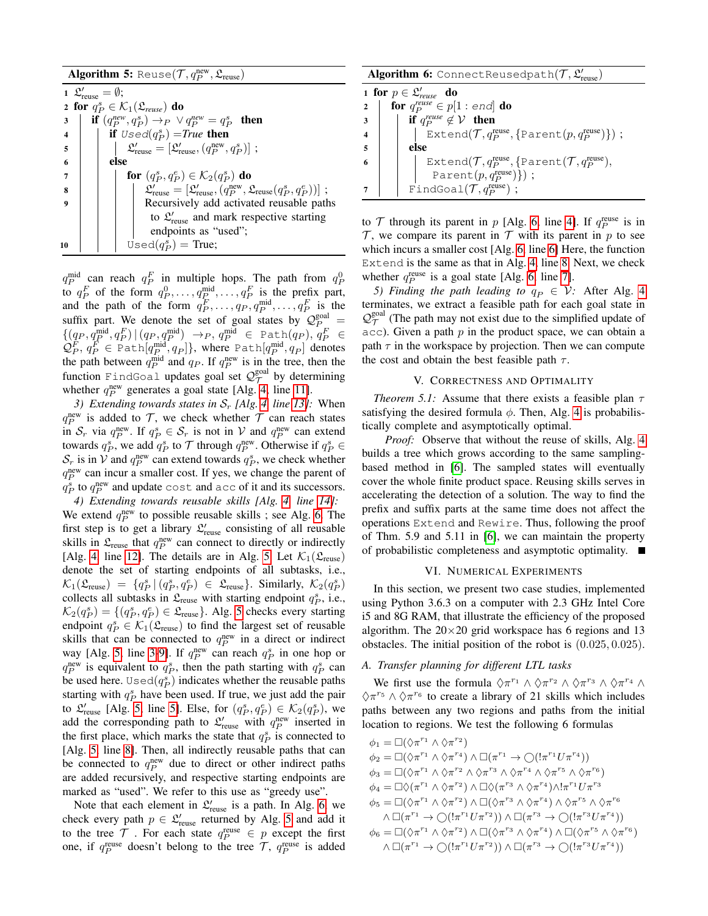Algorithm 5: Reuse $(\mathcal{T}, q_P^{\rm new}, \mathfrak{L}_{\rm reuse})$ 

<span id="page-4-5"></span><span id="page-4-3"></span><span id="page-4-2"></span>1  $\mathfrak{L}'_{\text{reuse}} = \emptyset;$ 2 for  $q_P^s \in \mathcal{K}_1(\mathfrak{L}_{reuse})$  do 3 **if**  $(q_P^{new}, q_P^s) \rightarrow_P \lor q_P^{new} = q_P^s$  then 4 **if**  $Used(q_P^s) = True$  then  $\mathfrak{s} \quad | \quad \big| \quad \mathfrak{L}'_{\text{reuse}} = [\mathfrak{L}'_{\text{reuse}},(q_P^{\text{new}},q_P^s)] \; ;$  $6$  else  $\begin{array}{|c|c|c|}\hline \hspace{0.2cm} &\hspace{0.2cm} &\hspace{0.2cm} &\hspace{0.2cm} &\hspace{0.2cm} &\hspace{0.2cm} &\hspace{0.2cm} &\hspace{0.2cm} &\hspace{0.2cm} &\hspace{0.2cm} &\hspace{0.2cm} &\hspace{0.2cm} &\hspace{0.2cm} &\hspace{0.2cm} &\hspace{0.2cm} &\hspace{0.2cm} &\hspace{0.2cm} &\hspace{0.2cm} &\hspace{0.2cm} &\hspace{0.2cm} &\hspace{0$ 8 | | | | <u>|</u> L  $\mathcal{L}_{\text{reuse}}' = [\mathfrak{L}_{\text{reuse}}' , (q_P^\text{new}, \mathfrak{L}_{\text{reuse}}(q_P^s, q_P^e))] \; ;$ 9 Recursively add activated reusable paths to  $\mathfrak{L}_{\text{reuse}}'$  and mark respective starting endpoints as "used"; 10  $\bigcup$  Used $(q_P^s)$  = True;

<span id="page-4-6"></span><span id="page-4-4"></span> $q_P^{\text{mid}}$  can reach  $q_P^F$  in multiple hops. The path from  $q_P^0$ to  $q_P^F$  of the form  $q_P^0, \ldots, q_P^{\text{mid}}, \ldots, q_P^F$  is the prefix part, and the path of the form  $q_P^F, \ldots, q_P, q_P^{\text{mid}}, \ldots, q_P^F$  is the suffix part. We denote the set of goal states by  $\mathcal{Q}_P^{\text{goal}} =$  $\{(q_P, q_P^{\text{mid}}, q_P^F) | (q_P, q_P^{\text{mid}}) \rightarrow_P, q_P^{\text{mid}} \in \text{Path}(q_P), q_P^F \in$  $\mathcal{Q}_P^F,\,q_P^F\in \texttt{Path}[q_P^{\text{mid}},q_P]\},$  where  $\texttt{Path}[q_P^{\text{mid}},q_P]$  denotes the path between  $q_P^{\text{mid}}$  and  $q_P$ . If  $q_P^{\text{new}}$  is in the tree, then the function FindGoal updates goal set  $\mathcal{Q}_\mathcal{T}^{\text{goal}}$  by determining whether  $q_P^{\text{new}}$  generates a goal state [Alg. [4,](#page-3-6) line [11\]](#page-3-10).

*3) Extending towards states in*  $S_r$  [Alg. [4,](#page-3-6) line [13\]](#page-3-11): When  $q_P^{\text{new}}$  is added to  $\mathcal{T}$ , we check whether  $\mathcal{T}$  can reach states in  $S_r$  via  $q_P^{\text{new}}$ . If  $q_P^s \in S_r$  is not in V and  $q_P^{\text{new}}$  can extend towards  $q_P^s$ , we add  $q_P^s$  to  $\mathcal T$  through  $q_P^{\text{new}}$ . Otherwise if  $q_P^s \in$  $S_r$  is in V and  $q_P^{\text{new}}$  can extend towards  $q_P^s$ , we check whether  $q_P^{\text{new}}$  can incur a smaller cost. If yes, we change the parent of  $q_P^s$  to  $q_P^{\text{new}}$  and update cost and acc of it and its successors.

<span id="page-4-0"></span>*4) Extending towards reusable skills [Alg. [4,](#page-3-6) line [14\]](#page-3-12):* We extend  $q_P^{\text{new}}$  to possible reusable skills ; see Alg. [6.](#page-4-1) The first step is to get a library  $\mathfrak{L}'_{\rm reuse}$  consisting of all reusable skills in  $\mathfrak{L}_{\text{reuse}}$  that  $q_P^{\text{new}}$  can connect to directly or indirectly [Alg. [4,](#page-3-6) line [12\]](#page-3-13). The details are in Alg. [5.](#page-4-2) Let  $\mathcal{K}_1(\mathfrak{L}_{\text{reuse}})$ denote the set of starting endpoints of all subtasks, i.e.,  $\mathcal{K}_1(\mathfrak{L}_\text{reuse}) = \{q_P^s \mid (q_P^s, q_P^e) \in \mathfrak{L}_\text{reuse}\}.$  Similarly,  $\mathcal{K}_2(q_P^s)$ collects all subtasks in  $\mathfrak{L}_{\text{reuse}}$  with starting endpoint  $q_P^s$ , i.e.,  $\mathcal{K}_2(q_P^s) = \{(q_P^s, q_P^e) \in \mathfrak{L}_{\text{reuse}}\}$ . Alg. [5](#page-4-2) checks every starting endpoint  $q_P^s \in \mathcal{K}_1(\mathfrak{L}_\text{reuse})$  to find the largest set of reusable skills that can be connected to  $q_P^{\text{new}}$  in a direct or indirect way [Alg. [5,](#page-4-2) line [3-](#page-4-3)[9\]](#page-4-4). If  $q_P^{\text{new}}$  can reach  $q_P^s$  in one hop or  $q_P^{\text{new}}$  is equivalent to  $q_P^s$ , then the path starting with  $q_P^s$  can be used here. Used $(q_P^s)$  indicates whether the reusable paths starting with  $q_P^s$  have been used. If true, we just add the pair to  $\mathfrak{L}'_{\text{reuse}}$  [Alg. [5,](#page-4-2) line [5\]](#page-4-5). Else, for  $(q_P^s, q_P^e) \in \mathcal{K}_2(q_P^s)$ , we add the corresponding path to  $\mathfrak{L}'_{\text{reuse}}$  with  $q_P^{\text{new}}$  inserted in the first place, which marks the state that  $q_P^s$  is connected to [Alg. [5,](#page-4-2) line [8\]](#page-4-6). Then, all indirectly reusable paths that can be connected to  $q_P^{\text{new}}$  due to direct or other indirect paths are added recursively, and respective starting endpoints are marked as "used". We refer to this use as "greedy use".

Note that each element in  $\mathfrak{L}'_{\text{reuse}}$  is a path. In Alg. [6,](#page-4-1) we check every path  $p \in \mathcal{L}'_{\text{reuse}}$  returned by Alg. [5](#page-4-2) and add it to the tree  $\mathcal T$  . For each state  $q_P^{\text{reuse}} \in p$  except the first one, if  $q_P^{\text{reuse}}$  doesn't belong to the tree  $\mathcal{T}$ ,  $q_P^{\text{reuse}}$  is added Algorithm 6: ConnectReusedpath $(\mathcal{T}, \mathfrak{L}'_\mathrm{reuse})$ 

<span id="page-4-8"></span><span id="page-4-7"></span><span id="page-4-1"></span>

| 1 for $p \in \mathcal{L}'_{reuse}$ do |                                                                                                |  |  |  |  |  |
|---------------------------------------|------------------------------------------------------------------------------------------------|--|--|--|--|--|
| $\overline{2}$                        | for $q_P^{reuse} \in p[1:end]$ do                                                              |  |  |  |  |  |
|                                       | if $q_P^{reuse} \notin V$ then                                                                 |  |  |  |  |  |
|                                       | Extend $(\mathcal{T}, q_P^{\text{reuse}}, \{\texttt{Parent}(p, q_P^{\text{reuse}})\})$ ;       |  |  |  |  |  |
| -5                                    | else                                                                                           |  |  |  |  |  |
| -6                                    | Extend $(\mathcal{T}, q_P^{\text{reuse}}, \{\texttt{Parent}(\mathcal{T}, q_P^{\text{reuse}}),$ |  |  |  |  |  |
|                                       | Parent $(p, q_P^{\text{reuse}})\})$ ;                                                          |  |  |  |  |  |
|                                       | FindGoal $(\mathcal{T}, q_P^{\text{reuse}})$ ;                                                 |  |  |  |  |  |

<span id="page-4-9"></span>to  $\mathcal T$  through its parent in  $p$  [Alg. [6,](#page-4-1) line [4\]](#page-4-7). If  $q_P^{\text{reuse}}$  is in  $\mathcal T$ , we compare its parent in  $\mathcal T$  with its parent in  $p$  to see which incurs a smaller cost [Alg. [6,](#page-4-1) line [6\]](#page-4-8) Here, the function Extend is the same as that in Alg. [4,](#page-3-6) line [8.](#page-3-7) Next, we check whether  $q_P^{\text{reuse}}$  is a goal state [Alg. [6,](#page-4-1) line [7\]](#page-4-9).

*5) Finding the path leading to*  $q_P \in \mathcal{V}$ : After Alg. [4](#page-3-6) terminates, we extract a feasible path for each goal state in  $Q_{\tau}^{\text{goal}}$  (The path may not exist due to the simplified update of  $acc)$ . Given a path p in the product space, we can obtain a path  $\tau$  in the workspace by projection. Then we can compute the cost and obtain the best feasible path  $\tau$ .

# V. CORRECTNESS AND OPTIMALITY

*Theorem 5.1:* Assume that there exists a feasible plan  $\tau$ satisfying the desired formula  $\phi$ . Then, Alg. [4](#page-3-6) is probabilistically complete and asymptotically optimal.

*Proof:* Observe that without the reuse of skills, Alg. [4](#page-3-6) builds a tree which grows according to the same samplingbased method in [\[6\]](#page-5-5). The sampled states will eventually cover the whole finite product space. Reusing skills serves in accelerating the detection of a solution. The way to find the prefix and suffix parts at the same time does not affect the operations Extend and Rewire. Thus, following the proof of Thm. 5.9 and 5.11 in [\[6\]](#page-5-5), we can maintain the property of probabilistic completeness and asymptotic optimality.

## VI. NUMERICAL EXPERIMENTS

In this section, we present two case studies, implemented using Python 3.6.3 on a computer with 2.3 GHz Intel Core i5 and 8G RAM, that illustrate the efficiency of the proposed algorithm. The  $20 \times 20$  grid workspace has 6 regions and 13 obstacles. The initial position of the robot is (0.025, 0.025).

#### <span id="page-4-10"></span>*A. Transfer planning for different LTL tasks*

We first use the formula  $\Diamond \pi^{r_1} \land \Diamond \pi^{r_2} \land \Diamond \pi^{r_3} \land \Diamond \pi^{r_4} \land \Box$  $\Diamond \pi^{r_5} \land \Diamond \pi^{r_6}$  to create a library of 21 skills which includes paths between any two regions and paths from the initial location to regions. We test the following 6 formulas

$$
\phi_1 = \Box(\Diamond \pi^{r_1} \land \Diamond \pi^{r_2})
$$
  
\n
$$
\phi_2 = \Box(\Diamond \pi^{r_1} \land \Diamond \pi^{r_4}) \land \Box(\pi^{r_1} \to \bigcirc (1\pi^{r_1} U \pi^{r_4}))
$$
  
\n
$$
\phi_3 = \Box(\Diamond \pi^{r_1} \land \Diamond \pi^{r_2} \land \Diamond \pi^{r_3} \land \Diamond \pi^{r_4} \land \Diamond \pi^{r_5} \land \Diamond \pi^{r_6})
$$
  
\n
$$
\phi_4 = \Box \Diamond (\pi^{r_1} \land \Diamond \pi^{r_2}) \land \Box \Diamond (\pi^{r_3} \land \Diamond \pi^{r_4}) \land 1\pi^{r_1} U \pi^{r_3}
$$
  
\n
$$
\phi_5 = \Box(\Diamond \pi^{r_1} \land \Diamond \pi^{r_2}) \land \Box(\Diamond \pi^{r_3} \land \Diamond \pi^{r_4}) \land \Diamond \pi^{r_5} \land \Diamond \pi^{r_6}
$$
  
\n
$$
\land \Box(\pi^{r_1} \to \bigcirc (1\pi^{r_1} U \pi^{r_2})) \land \Box(\pi^{r_3} \to \bigcirc (1\pi^{r_3} U \pi^{r_4}))
$$
  
\n
$$
\phi_6 = \Box(\Diamond \pi^{r_1} \land \Diamond \pi^{r_2}) \land \Box(\Diamond \pi^{r_3} \land \Diamond \pi^{r_4}) \land \Box(\Diamond \pi^{r_5} \land \Diamond \pi^{r_6})
$$
  
\n
$$
\land \Box(\pi^{r_1} \to \bigcirc (1\pi^{r_1} U \pi^{r_2})) \land \Box(\pi^{r_3} \to \bigcirc (1\pi^{r_3} U \pi^{r_4}))
$$